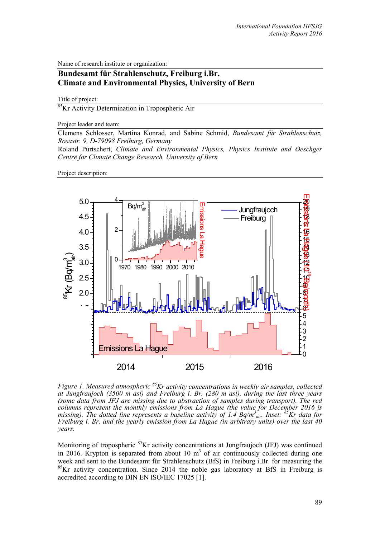Name of research institute or organization:

## **Bundesamt für Strahlenschutz, Freiburg i.Br. Climate and Environmental Physics, University of Bern**

Title of project:

85Kr Activity Determination in Tropospheric Air

Project leader and team:

Clemens Schlosser, Martina Konrad, and Sabine Schmid, *Bundesamt für Strahlenschutz, Rosastr. 9, D-79098 Freiburg, Germany*

Roland Purtschert, *Climate and Environmental Physics, Physics Institute and Oeschger Centre for Climate Change Research, University of Bern*

Project description:



*Figure 1. Measured atmospheric 85Kr activity concentrations in weekly air samples, collected at Jungfraujoch (3500 m asl) and Freiburg i. Br. (280 m asl), during the last three years (some data from JFJ are missing due to abstraction of samples during transport). The red columns represent the monthly emissions from La Hague (the value for December 2016 is missing). The dotted line represents a baseline activity of 1.4 Bq/m3 air. Inset: 85Kr data for Freiburg i. Br. and the yearly emission from La Hague (in arbitrary units) over the last 40 years.*

Monitoring of tropospheric <sup>85</sup>Kr activity concentrations at Jungfraujoch (JFJ) was continued in 2016. Krypton is separated from about 10  $m<sup>3</sup>$  of air continuously collected during one week and sent to the Bundesamt für Strahlenschutz (BfS) in Freiburg i.Br. for measuring the <sup>85</sup>Kr activity concentration. Since 2014 the noble gas laboratory at BfS in Freiburg is accredited according to DIN EN ISO/IEC 17025 [1].